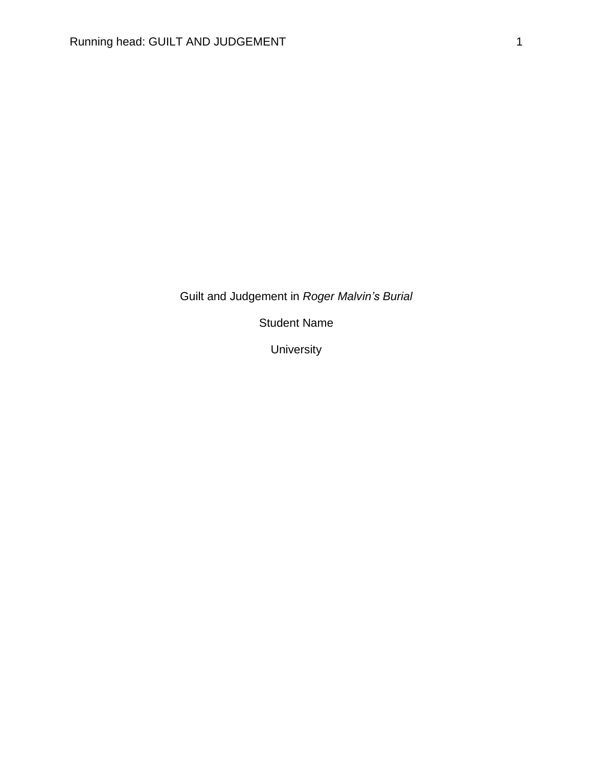Guilt and Judgement in *Roger Malvin's Burial*

Student Name

University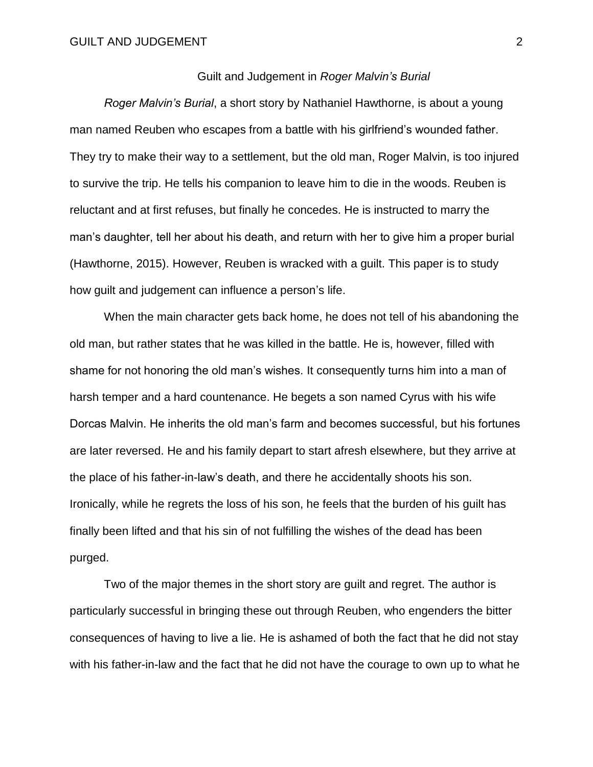### Guilt and Judgement in *Roger Malvin's Burial*

*Roger Malvin's Burial*, a short story by Nathaniel Hawthorne, is about a young man named Reuben who escapes from a battle with his girlfriend's wounded father. They try to make their way to a settlement, but the old man, Roger Malvin, is too injured to survive the trip. He tells his companion to leave him to die in the woods. Reuben is reluctant and at first refuses, but finally he concedes. He is instructed to marry the man's daughter, tell her about his death, and return with her to give him a proper burial (Hawthorne, 2015). However, Reuben is wracked with a guilt. This paper is to study how guilt and judgement can influence a person's life.

When the main character gets back home, he does not tell of his abandoning the old man, but rather states that he was killed in the battle. He is, however, filled with shame for not honoring the old man's wishes. It consequently turns him into a man of harsh temper and a hard countenance. He begets a son named Cyrus with his wife Dorcas Malvin. He inherits the old man's farm and becomes successful, but his fortunes are later reversed. He and his family depart to start afresh elsewhere, but they arrive at the place of his father-in-law's death, and there he accidentally shoots his son. Ironically, while he regrets the loss of his son, he feels that the burden of his guilt has finally been lifted and that his sin of not fulfilling the wishes of the dead has been purged.

Two of the major themes in the short story are guilt and regret. The author is particularly successful in bringing these out through Reuben, who engenders the bitter consequences of having to live a lie. He is ashamed of both the fact that he did not stay with his father-in-law and the fact that he did not have the courage to own up to what he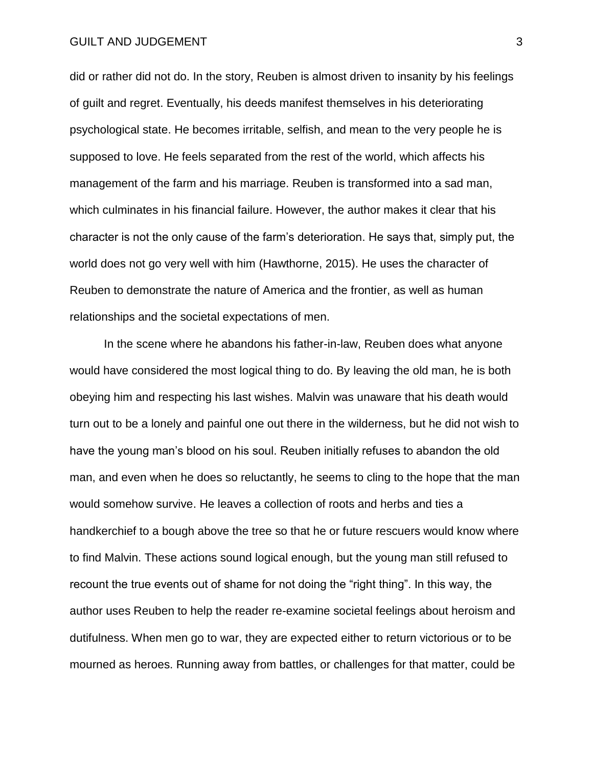### GUILT AND JUDGEMENT **3**

did or rather did not do. In the story, Reuben is almost driven to insanity by his feelings of guilt and regret. Eventually, his deeds manifest themselves in his deteriorating psychological state. He becomes irritable, selfish, and mean to the very people he is supposed to love. He feels separated from the rest of the world, which affects his management of the farm and his marriage. Reuben is transformed into a sad man, which culminates in his financial failure. However, the author makes it clear that his character is not the only cause of the farm's deterioration. He says that, simply put, the world does not go very well with him (Hawthorne, 2015). He uses the character of Reuben to demonstrate the nature of America and the frontier, as well as human relationships and the societal expectations of men.

In the scene where he abandons his father-in-law, Reuben does what anyone would have considered the most logical thing to do. By leaving the old man, he is both obeying him and respecting his last wishes. Malvin was unaware that his death would turn out to be a lonely and painful one out there in the wilderness, but he did not wish to have the young man's blood on his soul. Reuben initially refuses to abandon the old man, and even when he does so reluctantly, he seems to cling to the hope that the man would somehow survive. He leaves a collection of roots and herbs and ties a handkerchief to a bough above the tree so that he or future rescuers would know where to find Malvin. These actions sound logical enough, but the young man still refused to recount the true events out of shame for not doing the "right thing". In this way, the author uses Reuben to help the reader re-examine societal feelings about heroism and dutifulness. When men go to war, they are expected either to return victorious or to be mourned as heroes. Running away from battles, or challenges for that matter, could be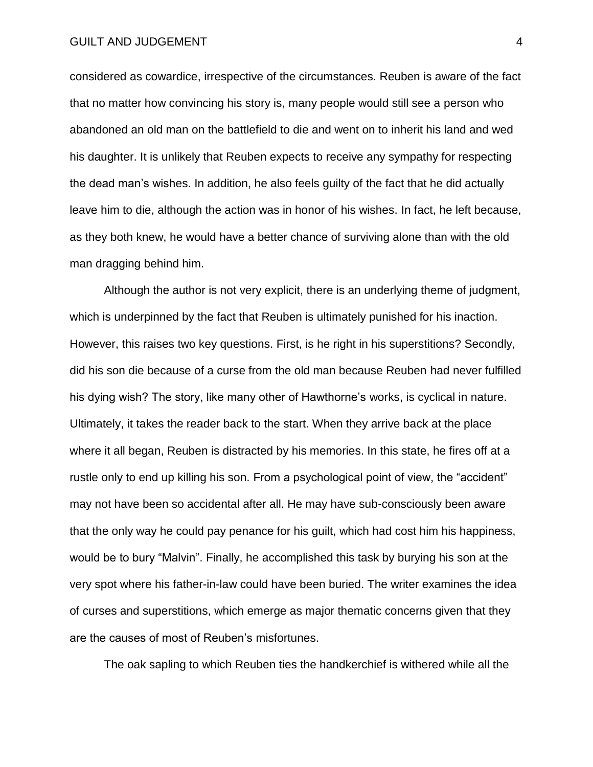### GUILT AND JUDGEMENT 4

considered as cowardice, irrespective of the circumstances. Reuben is aware of the fact that no matter how convincing his story is, many people would still see a person who abandoned an old man on the battlefield to die and went on to inherit his land and wed his daughter. It is unlikely that Reuben expects to receive any sympathy for respecting the dead man's wishes. In addition, he also feels guilty of the fact that he did actually leave him to die, although the action was in honor of his wishes. In fact, he left because, as they both knew, he would have a better chance of surviving alone than with the old man dragging behind him.

Although the author is not very explicit, there is an underlying theme of judgment, which is underpinned by the fact that Reuben is ultimately punished for his inaction. However, this raises two key questions. First, is he right in his superstitions? Secondly, did his son die because of a curse from the old man because Reuben had never fulfilled his dying wish? The story, like many other of Hawthorne's works, is cyclical in nature. Ultimately, it takes the reader back to the start. When they arrive back at the place where it all began, Reuben is distracted by his memories. In this state, he fires off at a rustle only to end up killing his son. From a psychological point of view, the "accident" may not have been so accidental after all. He may have sub-consciously been aware that the only way he could pay penance for his guilt, which had cost him his happiness, would be to bury "Malvin". Finally, he accomplished this task by burying his son at the very spot where his father-in-law could have been buried. The writer examines the idea of curses and superstitions, which emerge as major thematic concerns given that they are the causes of most of Reuben's misfortunes.

The oak sapling to which Reuben ties the handkerchief is withered while all the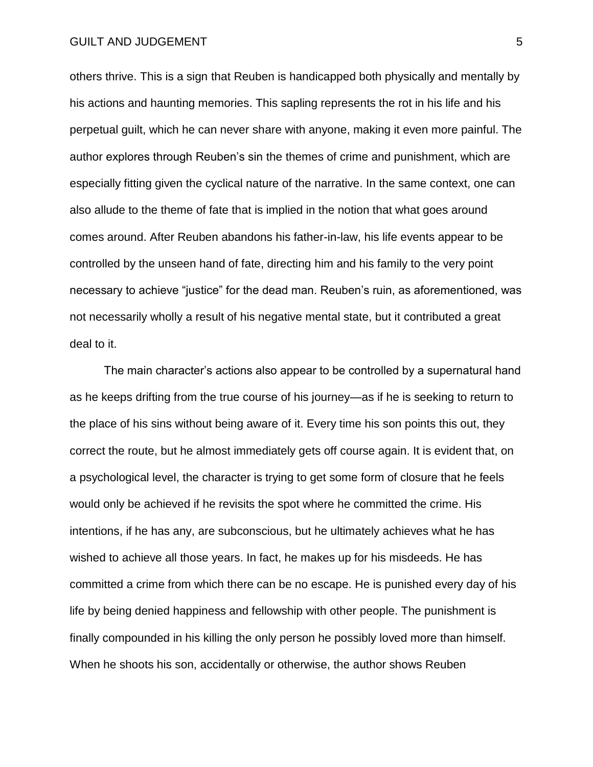others thrive. This is a sign that Reuben is handicapped both physically and mentally by his actions and haunting memories. This sapling represents the rot in his life and his perpetual guilt, which he can never share with anyone, making it even more painful. The author explores through Reuben's sin the themes of crime and punishment, which are especially fitting given the cyclical nature of the narrative. In the same context, one can also allude to the theme of fate that is implied in the notion that what goes around comes around. After Reuben abandons his father-in-law, his life events appear to be controlled by the unseen hand of fate, directing him and his family to the very point necessary to achieve "justice" for the dead man. Reuben's ruin, as aforementioned, was not necessarily wholly a result of his negative mental state, but it contributed a great deal to it.

The main character's actions also appear to be controlled by a supernatural hand as he keeps drifting from the true course of his journey—as if he is seeking to return to the place of his sins without being aware of it. Every time his son points this out, they correct the route, but he almost immediately gets off course again. It is evident that, on a psychological level, the character is trying to get some form of closure that he feels would only be achieved if he revisits the spot where he committed the crime. His intentions, if he has any, are subconscious, but he ultimately achieves what he has wished to achieve all those years. In fact, he makes up for his misdeeds. He has committed a crime from which there can be no escape. He is punished every day of his life by being denied happiness and fellowship with other people. The punishment is finally compounded in his killing the only person he possibly loved more than himself. When he shoots his son, accidentally or otherwise, the author shows Reuben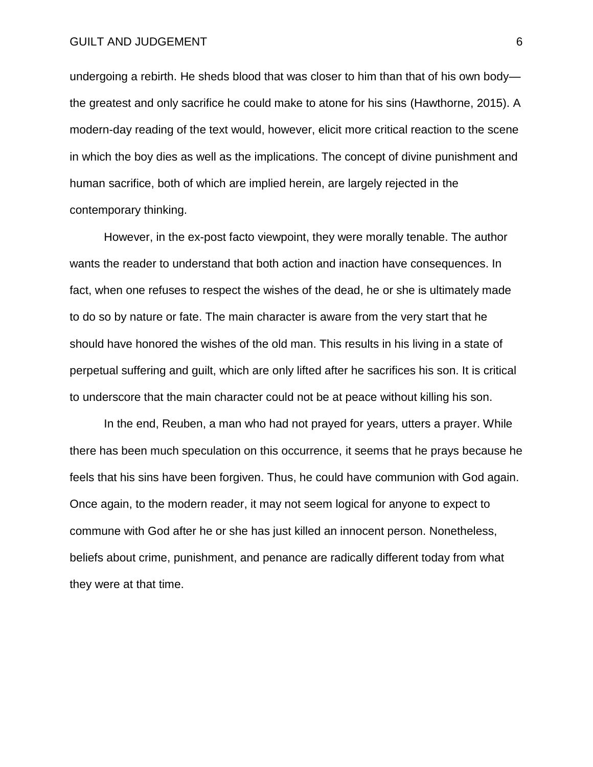### GUILT AND JUDGEMENT 6

undergoing a rebirth. He sheds blood that was closer to him than that of his own body the greatest and only sacrifice he could make to atone for his sins (Hawthorne, 2015). A modern-day reading of the text would, however, elicit more critical reaction to the scene in which the boy dies as well as the implications. The concept of divine punishment and human sacrifice, both of which are implied herein, are largely rejected in the contemporary thinking.

However, in the ex-post facto viewpoint, they were morally tenable. The author wants the reader to understand that both action and inaction have consequences. In fact, when one refuses to respect the wishes of the dead, he or she is ultimately made to do so by nature or fate. The main character is aware from the very start that he should have honored the wishes of the old man. This results in his living in a state of perpetual suffering and guilt, which are only lifted after he sacrifices his son. It is critical to underscore that the main character could not be at peace without killing his son.

In the end, Reuben, a man who had not prayed for years, utters a prayer. While there has been much speculation on this occurrence, it seems that he prays because he feels that his sins have been forgiven. Thus, he could have communion with God again. Once again, to the modern reader, it may not seem logical for anyone to expect to commune with God after he or she has just killed an innocent person. Nonetheless, beliefs about crime, punishment, and penance are radically different today from what they were at that time.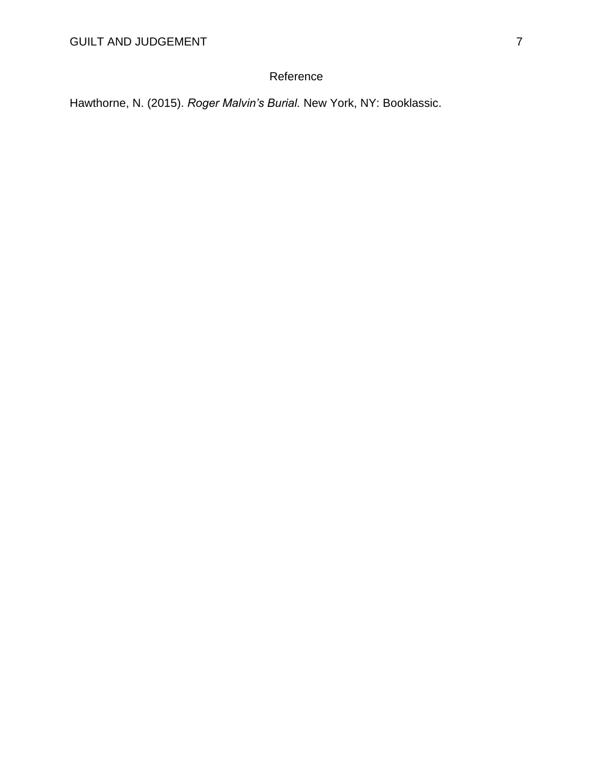## Reference

Hawthorne, N. (2015). *Roger Malvin's Burial.* New York, NY: Booklassic.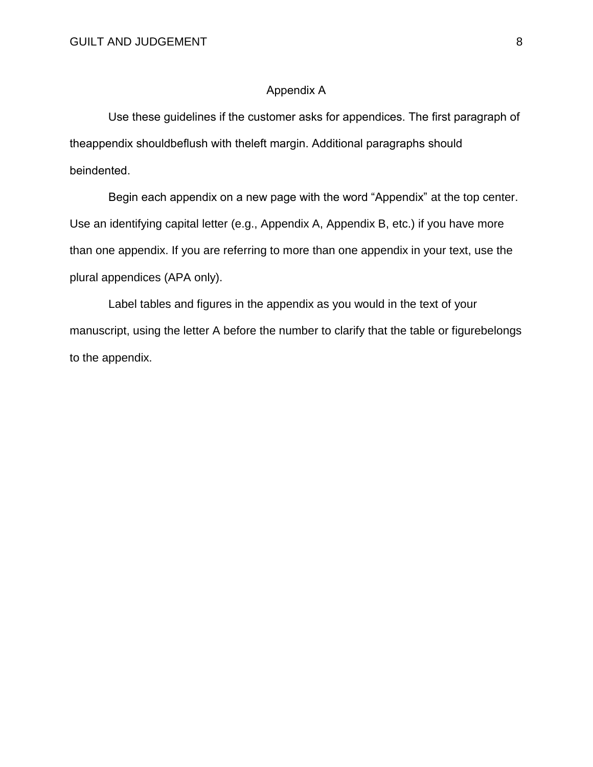### Appendix A

 Use these guidelines if the customer asks for appendices. The first paragraph of theappendix shouldbeflush with theleft margin. Additional paragraphs should beindented.

 Begin each appendix on a new page with the word "Appendix" at the top center. Use an identifying capital letter (e.g., Appendix A, Appendix B, etc.) if you have more than one appendix. If you are referring to more than one appendix in your text, use the plural appendices (APA only).

 Label tables and figures in the appendix as you would in the text of your manuscript, using the letter A before the number to clarify that the table or figurebelongs to the appendix.